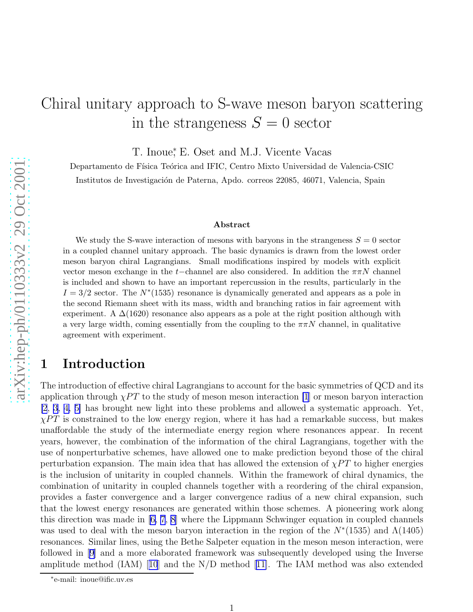# Chiral unitary approach to S-wave meson baryon scattering in the strangeness  $S=0$  sector

T. Inoue,<sup>\*</sup> E. Oset and M.J. Vicente Vacas

Departamento de Física Teórica and IFIC, Centro Mixto Universidad de Valencia-CSIC

Institutos de Investigación de Paterna, Apdo. correos 22085, 46071, Valencia, Spain

#### Abstract

We study the S-wave interaction of mesons with baryons in the strangeness  $S = 0$  sector in a coupled channel unitary approach. The basic dynamics is drawn from the lowest order meson baryon chiral Lagrangians. Small modifications inspired by models with explicit vector meson exchange in the  $t$ -channel are also considered. In addition the  $\pi \pi N$  channel is included and shown to have an important repercussion in the results, particularly in the  $I = 3/2$  sector. The  $N^*(1535)$  resonance is dynamically generated and appears as a pole in the second Riemann sheet with its mass, width and branching ratios in fair agreement with experiment. A  $\Delta(1620)$  resonance also appears as a pole at the right position although with a very large width, coming essentially from the coupling to the  $\pi\pi N$  channel, in qualitative agreement with experiment.

# 1 Introduction

The introduction of effective chiral Lagrangians to account for the basic symmetries of QCD and its application through  $\chi PT$  to the study of meson meson interaction [\[1](#page-20-0)] or meson baryon interaction [\[2](#page-21-0), [3](#page-21-0), [4, 5\]](#page-21-0) has brought new light into these problems and allowed a systematic approach. Yet,  $\chi PT$  is constrained to the low energy region, where it has had a remarkable success, but makes unaffordable the study of the intermediate energy region where resonances appear. In recent years, however, the combination of the information of the chiral Lagrangians, together with the use of nonperturbative schemes, have allowed one to make prediction beyond those of the chiral perturbation expansion. The main idea that has allowed the extension of  $\chi PT$  to higher energies is the inclusion of unitarity in coupled channels. Within the framework of chiral dynamics, the combination of unitarity in coupled channels together with a reordering of the chiral expansion, provides a faster convergence and a larger convergence radius of a new chiral expansion, such that the lowest energy resonances are generated within those schemes. A pioneering work along this direction was made in [\[6, 7, 8](#page-21-0)] where the Lippmann Schwinger equation in coupled channels was used to deal with the meson baryon interaction in the region of the  $N^*(1535)$  and  $\Lambda(1405)$ resonances. Similar lines, using the Bethe Salpeter equation in the meson meson interaction, were followed in [\[9\]](#page-21-0) and a more elaborated framework was subsequently developed using the Inverse amplitudemethod  $(IAM)$  [[10](#page-21-0)] and the N/D method [[11\]](#page-21-0). The IAM method was also extended

<sup>∗</sup> e-mail: inoue@ific.uv.es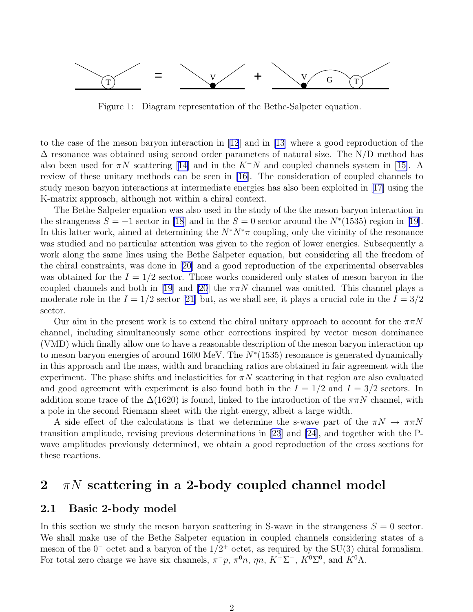<span id="page-1-0"></span>

Figure 1: Diagram representation of the Bethe-Salpeter equation.

to the case of the meson baryon interaction in[[12](#page-21-0)] and in[[13\]](#page-21-0) where a good reproduction of the  $\Delta$  resonance was obtained using second order parameters of natural size. The N/D method has alsobeen used for  $\pi N$  scattering [[14\]](#page-21-0) and in the K<sup>-</sup>N and coupled channels system in [[15\]](#page-21-0). A review of these unitary methods can be seen in [\[16](#page-21-0)]. The consideration of coupled channels to study meson baryon interactions at intermediate energies has also been exploited in [\[17](#page-21-0)] using the K-matrix approach, although not within a chiral context.

The Bethe Salpeter equation was also used in the study of the the meson baryon interaction in the strangeness  $S = -1$  sector in [\[18](#page-21-0)] and in the  $S = 0$  sector around the  $N^*(1535)$  region in [\[19\]](#page-21-0). In this latter work, aimed at determining the  $N^*N^*\pi$  coupling, only the vicinity of the resonance was studied and no particular attention was given to the region of lower energies. Subsequently a work along the same lines using the Bethe Salpeter equation, but considering all the freedom of the chiral constraints, was done in [\[20\]](#page-21-0) and a good reproduction of the experimental observables was obtained for the  $I = 1/2$  sector. Those works considered only states of meson baryon in the coupledchannels and both in [[19](#page-21-0)] and [\[20](#page-21-0)] the  $\pi \pi N$  channel was omitted. This channel plays a moderate role in the  $I = 1/2$  sector [\[21\]](#page-21-0) but, as we shall see, it plays a crucial role in the  $I = 3/2$ sector.

Our aim in the present work is to extend the chiral unitary approach to account for the  $\pi\pi N$ channel, including simultaneously some other corrections inspired by vector meson dominance (VMD) which finally allow one to have a reasonable description of the meson baryon interaction up to meson baryon energies of around 1600 MeV. The  $N^*(1535)$  resonance is generated dynamically in this approach and the mass, width and branching ratios are obtained in fair agreement with the experiment. The phase shifts and inelasticities for  $\pi N$  scattering in that region are also evaluated and good agreement with experiment is also found both in the  $I = 1/2$  and  $I = 3/2$  sectors. In addition some trace of the  $\Delta(1620)$  is found, linked to the introduction of the  $\pi\pi N$  channel, with a pole in the second Riemann sheet with the right energy, albeit a large width.

A side effect of the calculations is that we determine the s-wave part of the  $\pi N \to \pi \pi N$ transition amplitude, revising previous determinations in [\[23\]](#page-21-0) and [\[24](#page-21-0)], and together with the Pwave amplitudes previously determined, we obtain a good reproduction of the cross sections for these reactions.

# 2  $\pi N$  scattering in a 2-body coupled channel model

#### 2.1 Basic 2-body model

In this section we study the meson baryon scattering in S-wave in the strangeness  $S = 0$  sector. We shall make use of the Bethe Salpeter equation in coupled channels considering states of a meson of the  $0^-$  octet and a baryon of the  $1/2^+$  octet, as required by the SU(3) chiral formalism. For total zero charge we have six channels,  $\pi^- p$ ,  $\pi^0 n$ ,  $\eta n$ ,  $K^+ \Sigma^-$ ,  $K^0 \Sigma^0$ , and  $K^0 \Lambda$ .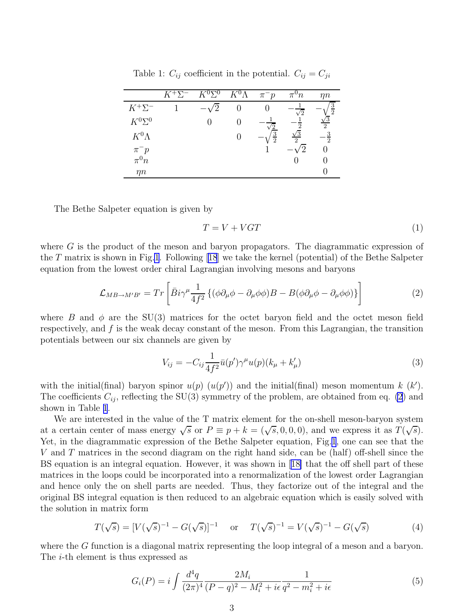|                | $K^+\Sigma^-$ | $K^{0}\nabla^{0}$ | $K^0\Lambda$ | $\pi^- p$     | $\pi^\circ n$  | ηn                      |
|----------------|---------------|-------------------|--------------|---------------|----------------|-------------------------|
| $K^+ \Sigma^-$ |               |                   |              |               | $\sqrt{2}$     | $\overline{\mathbf{3}}$ |
| $K^0\Sigma^0$  |               |                   |              |               | റ              | 2                       |
| $K^0\Lambda$   |               |                   |              | $\frac{3}{2}$ | $\overline{2}$ | $\mathcal{D}$           |
| $\pi^- p$      |               |                   |              |               |                |                         |
| $\pi^0 n$      |               |                   |              |               |                |                         |
| mп             |               |                   |              |               |                |                         |

<span id="page-2-0"></span>Table 1:  $C_{ij}$  coefficient in the potential.  $C_{ij} = C_{ji}$ 

The Bethe Salpeter equation is given by

$$
T = V + VGT \tag{1}
$$

where G is the product of the meson and baryon propagators. The diagrammatic expression of the T matrix is shown in Fig[.1](#page-1-0).Following [[18](#page-21-0)] we take the kernel (potential) of the Bethe Salpeter equation from the lowest order chiral Lagrangian involving mesons and baryons

$$
\mathcal{L}_{MB \to M'B'} = Tr \left[ \bar{B} i \gamma^{\mu} \frac{1}{4f^2} \left\{ (\phi \partial_{\mu} \phi - \partial_{\mu} \phi \phi) B - B (\phi \partial_{\mu} \phi - \partial_{\mu} \phi \phi) \right\} \right]
$$
(2)

where B and  $\phi$  are the SU(3) matrices for the octet baryon field and the octet meson field respectively, and  $f$  is the weak decay constant of the meson. From this Lagrangian, the transition potentials between our six channels are given by

$$
V_{ij} = -C_{ij} \frac{1}{4f^2} \bar{u}(p') \gamma^{\mu} u(p) (k_{\mu} + k'_{\mu})
$$
\n(3)

with the initial(final) baryon spinor  $u(p)$   $(u(p'))$  and the initial(final) meson momentum k  $(k')$ . The coefficients  $C_{ij}$ , reflecting the SU(3) symmetry of the problem, are obtained from eq. (2) and shown in Table 1.

We are interested in the value of the T matrix element for the on-shell meson-baryon system at a certain center of mass energy  $\sqrt{s}$  or  $P \equiv p + k = (\sqrt{s}, 0, 0, 0)$ , and we express it as  $T(\sqrt{s})$ . Yet, in the diagrammatic expression of the Bethe Salpeter equation, Fig.[1](#page-1-0), one can see that the V and T matrices in the second diagram on the right hand side, can be (half) off-shell since the BS equation is an integral equation. However, it was shown in [[18\]](#page-21-0) that the off shell part of these matrices in the loops could be incorporated into a renormalization of the lowest order Lagrangian and hence only the on shell parts are needed. Thus, they factorize out of the integral and the original BS integral equation is then reduced to an algebraic equation which is easily solved with the solution in matrix form

$$
T(\sqrt{s}) = [V(\sqrt{s})^{-1} - G(\sqrt{s})]^{-1} \quad \text{or} \quad T(\sqrt{s})^{-1} = V(\sqrt{s})^{-1} - G(\sqrt{s}) \tag{4}
$$

where the G function is a diagonal matrix representing the loop integral of a meson and a baryon. The i-th element is thus expressed as

$$
G_i(P) = i \int \frac{d^4q}{(2\pi)^4} \frac{2M_i}{(P-q)^2 - M_i^2 + i\epsilon} \frac{1}{q^2 - m_i^2 + i\epsilon} \tag{5}
$$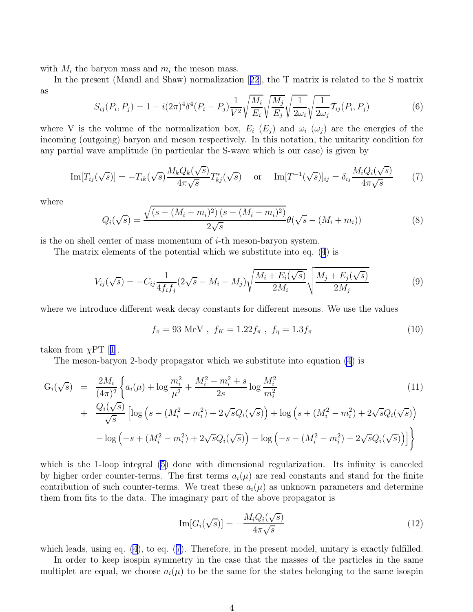with  $M_i$  the baryon mass and  $m_i$  the meson mass.

In the present (Mandl and Shaw) normalization[[22](#page-21-0)], the T matrix is related to the S matrix as

$$
S_{ij}(P_i, P_j) = 1 - i(2\pi)^4 \delta^4 (P_i - P_j) \frac{1}{V^2} \sqrt{\frac{M_i}{E_i}} \sqrt{\frac{M_j}{E_j}} \sqrt{\frac{1}{2\omega_i}} \sqrt{\frac{1}{2\omega_j}} T_{ij}(P_i, P_j)
$$
(6)

where V is the volume of the normalization box,  $E_i$  ( $E_j$ ) and  $\omega_i$  ( $\omega_j$ ) are the energies of the incoming (outgoing) baryon and meson respectively. In this notation, the unitarity condition for any partial wave amplitude (in particular the S-wave which is our case) is given by

$$
\text{Im}[T_{ij}(\sqrt{s})] = -T_{ik}(\sqrt{s}) \frac{M_k Q_k(\sqrt{s})}{4\pi \sqrt{s}} T_{kj}^*(\sqrt{s}) \quad \text{or} \quad \text{Im}[T^{-1}(\sqrt{s})]_{ij} = \delta_{ij} \frac{M_i Q_i(\sqrt{s})}{4\pi \sqrt{s}} \tag{7}
$$

where

$$
Q_i(\sqrt{s}) = \frac{\sqrt{(s - (M_i + m_i)^2)(s - (M_i - m_i)^2)}}{2\sqrt{s}} \theta(\sqrt{s} - (M_i + m_i))
$$
\n(8)

is the on shell center of mass momentum of  $i$ -th meson-baryon system.

The matrix elements of the potential which we substitute into eq. [\(4](#page-2-0)) is

$$
V_{ij}(\sqrt{s}) = -C_{ij}\frac{1}{4f_i f_j}(2\sqrt{s} - M_i - M_j)\sqrt{\frac{M_i + E_i(\sqrt{s})}{2M_i}}\sqrt{\frac{M_j + E_j(\sqrt{s})}{2M_j}}
$$
(9)

where we introduce different weak decay constants for different mesons. We use the values

$$
f_{\pi} = 93 \text{ MeV}, \ f_K = 1.22 f_{\pi}, \ f_{\eta} = 1.3 f_{\pi}
$$
 (10)

takenfrom  $\chi$ PT [[1](#page-20-0)].

The meson-baryon 2-body propagator which we substitute into equation [\(4](#page-2-0)) is

$$
G_i(\sqrt{s}) = \frac{2M_i}{(4\pi)^2} \left\{ a_i(\mu) + \log \frac{m_i^2}{\mu^2} + \frac{M_i^2 - m_i^2 + s}{2s} \log \frac{M_i^2}{m_i^2} + \frac{Q_i(\sqrt{s})}{\sqrt{s}} \left[ \log \left( s - (M_i^2 - m_i^2) + 2\sqrt{s}Q_i(\sqrt{s}) \right) + \log \left( s + (M_i^2 - m_i^2) + 2\sqrt{s}Q_i(\sqrt{s}) \right) \right] - \log \left( -s + (M_i^2 - m_i^2) + 2\sqrt{s}Q_i(\sqrt{s}) \right) - \log \left( -s - (M_i^2 - m_i^2) + 2\sqrt{s}Q_i(\sqrt{s}) \right) \right\}
$$
\n(11)

which is the 1-loop integral [\(5\)](#page-2-0) done with dimensional regularization. Its infinity is canceled by higher order counter-terms. The first terms  $a_i(\mu)$  are real constants and stand for the finite contribution of such counter-terms. We treat these  $a_i(\mu)$  as unknown parameters and determine them from fits to the data. The imaginary part of the above propagator is

$$
\operatorname{Im}[G_i(\sqrt{s})] = -\frac{M_i Q_i(\sqrt{s})}{4\pi\sqrt{s}}\tag{12}
$$

which leads, using eq. [\(4](#page-2-0)), to eq. (7). Therefore, in the present model, unitary is exactly fulfilled.

In order to keep isospin symmetry in the case that the masses of the particles in the same multiplet are equal, we choose  $a_i(\mu)$  to be the same for the states belonging to the same isospin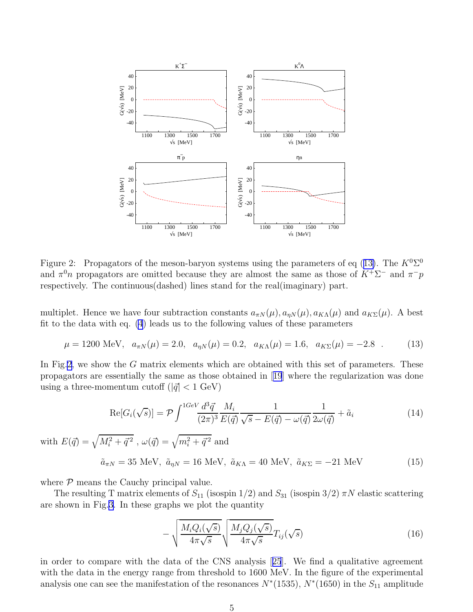

Figure 2: Propagators of the meson-baryon systems using the parameters of eq (13). The  $K^0\Sigma^0$ and  $\pi^0 n$  propagators are omitted because they are almost the same as those of  $K^+ \Sigma^-$  and  $\pi^- p$ respectively. The continuous(dashed) lines stand for the real(imaginary) part.

multiplet. Hence we have four subtraction constants  $a_{\pi N}(\mu)$ ,  $a_{\eta N}(\mu)$ ,  $a_{K\Lambda}(\mu)$  and  $a_{K\Sigma}(\mu)$ . A best fit to the data with eq. [\(4](#page-2-0)) leads us to the following values of these parameters

$$
\mu = 1200 \text{ MeV}, \quad a_{\pi N}(\mu) = 2.0, \quad a_{\eta N}(\mu) = 0.2, \quad a_{K\Lambda}(\mu) = 1.6, \quad a_{K\Sigma}(\mu) = -2.8 \quad . \tag{13}
$$

In Fig.2, we show the G matrix elements which are obtained with this set of parameters. These propagators are essentially the same as those obtained in[[19](#page-21-0)] where the regularization was done using a three-momentum cutoff  $(|\vec{q}| < 1 \text{ GeV})$ 

$$
\operatorname{Re}[G_i(\sqrt{s})] = \mathcal{P} \int^{1GeV} \frac{d^3 \vec{q}}{(2\pi)^3} \frac{M_i}{E(\vec{q})} \frac{1}{\sqrt{s} - E(\vec{q}) - \omega(\vec{q})} \frac{1}{2\omega(\vec{q})} + \tilde{a}_i
$$
(14)

with  $E(\vec{q}) = \sqrt{M_i^2 + \vec{q}^{\,2}}$  ,  $\omega(\vec{q}) = \sqrt{m_i^2 + \vec{q}^{\,2}}$  and

 $\tilde{a}_{\pi N} = 35 \text{ MeV}, \ \tilde{a}_{\eta N} = 16 \text{ MeV}, \ \tilde{a}_{K\Lambda} = 40 \text{ MeV}, \ \tilde{a}_{K\Sigma} = -21 \text{ MeV}$  (15)

where  $P$  means the Cauchy principal value.

The resulting T matrix elements of  $S_{11}$  (isospin  $1/2$ ) and  $S_{31}$  (isospin  $3/2$ )  $\pi N$  elastic scattering are shown in Fig.[3.](#page-5-0) In these graphs we plot the quantity

$$
-\sqrt{\frac{M_i Q_i(\sqrt{s})}{4\pi\sqrt{s}}} \sqrt{\frac{M_j Q_j(\sqrt{s})}{4\pi\sqrt{s}}} T_{ij}(\sqrt{s})
$$
\n(16)

in order to compare with the data of the CNS analysis[[25](#page-21-0)]. We find a qualitative agreement with the data in the energy range from threshold to 1600 MeV. In the figure of the experimental analysis one can see the manifestation of the resonances  $N^*(1535)$ ,  $N^*(1650)$  in the  $S_{11}$  amplitude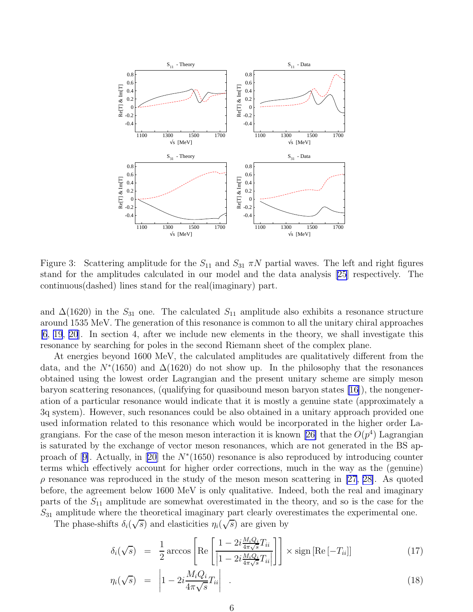<span id="page-5-0"></span>

Figure 3: Scattering amplitude for the  $S_{11}$  and  $S_{31} \pi N$  partial waves. The left and right figures stand for the amplitudes calculated in our model and the data analysis [\[25\]](#page-21-0) respectively. The continuous(dashed) lines stand for the real(imaginary) part.

and  $\Delta(1620)$  in the  $S_{31}$  one. The calculated  $S_{11}$  amplitude also exhibits a resonance structure around 1535 MeV. The generation of this resonance is common to all the unitary chiral approaches [\[6](#page-21-0), [19](#page-21-0), [20\]](#page-21-0). In section 4, after we include new elements in the theory, we shall investigate this resonance by searching for poles in the second Riemann sheet of the complex plane.

At energies beyond 1600 MeV, the calculated amplitudes are qualitatively different from the data, and the  $N^*(1650)$  and  $\Delta(1620)$  do not show up. In the philosophy that the resonances obtained using the lowest order Lagrangian and the present unitary scheme are simply meson baryon scattering resonances, (qualifying for quasibound meson baryon states [\[16](#page-21-0)]), the nongeneration of a particular resonance would indicate that it is mostly a genuine state (approximately a 3q system). However, such resonances could be also obtained in a unitary approach provided one used information related to this resonance which would be incorporated in the higher order La-grangians. For the case of the meson meson interaction it is known [\[26\]](#page-21-0) that the  $O(p^4)$  Lagrangian is saturated by the exchange of vector meson resonances, which are not generated in the BS ap-proachof [[9\]](#page-21-0). Actually, in [\[20\]](#page-21-0) the  $N^*(1650)$  resonance is also reproduced by introducing counter terms which effectively account for higher order corrections, much in the way as the (genuine)  $\rho$  resonance was reproduced in the study of the meson meson scattering in [\[27](#page-21-0), [28\]](#page-22-0). As quoted before, the agreement below 1600 MeV is only qualitative. Indeed, both the real and imaginary parts of the  $S_{11}$  amplitude are somewhat overestimated in the theory, and so is the case for the  $S_{31}$  amplitude where the theoretical imaginary part clearly overestimates the experimental one.

The phase-shifts  $\delta_i(\sqrt{s})$  and elasticities  $\eta_i(\sqrt{s})$  are given by

$$
\delta_i(\sqrt{s}) = \frac{1}{2} \arccos \left[ \text{Re} \left[ \frac{1 - 2i \frac{M_i Q_i}{4\pi \sqrt{s}} T_{ii}}{\left| 1 - 2i \frac{M_i Q_i}{4\pi \sqrt{s}} T_{ii} \right|} \right] \right] \times \text{sign} \left[ \text{Re} \left[ -T_{ii} \right] \right] \tag{17}
$$

$$
\eta_i(\sqrt{s}) = \left| 1 - 2i \frac{M_i Q_i}{4\pi \sqrt{s}} T_{ii} \right| \tag{18}
$$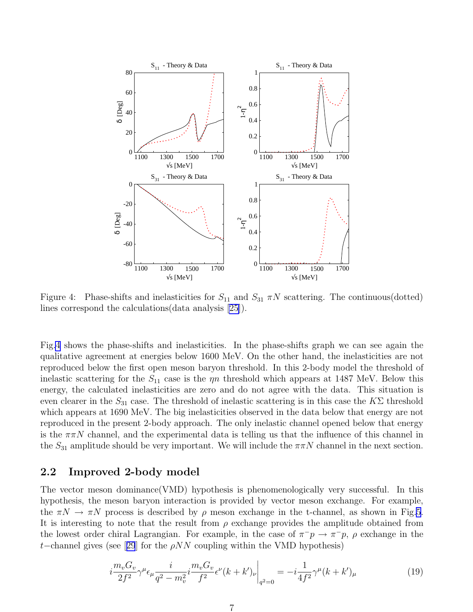

Figure 4: Phase-shifts and inelasticities for  $S_{11}$  and  $S_{31} \pi N$  scattering. The continuous(dotted) lines correspond the calculations(data analysis [\[25\]](#page-21-0)).

Fig.4 shows the phase-shifts and inelasticities. In the phase-shifts graph we can see again the qualitative agreement at energies below 1600 MeV. On the other hand, the inelasticities are not reproduced below the first open meson baryon threshold. In this 2-body model the threshold of inelastic scattering for the  $S_{11}$  case is the  $\eta n$  threshold which appears at 1487 MeV. Below this energy, the calculated inelasticities are zero and do not agree with the data. This situation is even clearer in the  $S_{31}$  case. The threshold of inelastic scattering is in this case the  $K\Sigma$  threshold which appears at 1690 MeV. The big inelasticities observed in the data below that energy are not reproduced in the present 2-body approach. The only inelastic channel opened below that energy is the  $\pi \pi N$  channel, and the experimental data is telling us that the influence of this channel in the  $S_{31}$  amplitude should be very important. We will include the  $\pi \pi N$  channel in the next section.

#### 2.2 Improved 2-body model

The vector meson dominance(VMD) hypothesis is phenomenologically very successful. In this hypothesis, the meson baryon interaction is provided by vector meson exchange. For example, the  $\pi N \to \pi N$  process is described by  $\rho$  meson exchange in the t-channel, as shown in Fig[.5](#page-7-0). It is interesting to note that the result from  $\rho$  exchange provides the amplitude obtained from the lowest order chiral Lagrangian. For example, in the case of  $\pi^-p \to \pi^-p$ ,  $\rho$  exchange in the t–channelgives (see [[29](#page-22-0)] for the  $\rho NN$  coupling within the VMD hypothesis)

$$
i\frac{m_v G_v}{2f^2} \gamma^\mu \epsilon_\mu \frac{i}{q^2 - m_v^2} i\frac{m_v G_v}{f^2} \epsilon^\nu (k + k')_\nu \bigg|_{q^2 = 0} = -i\frac{1}{4f^2} \gamma^\mu (k + k')_\mu \tag{19}
$$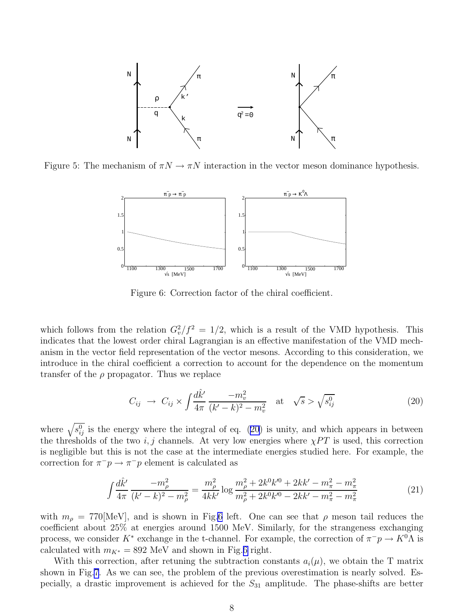<span id="page-7-0"></span>

Figure 5: The mechanism of  $\pi N \to \pi N$  interaction in the vector meson dominance hypothesis.



Figure 6: Correction factor of the chiral coefficient.

which follows from the relation  $G_v^2/f^2 = 1/2$ , which is a result of the VMD hypothesis. This indicates that the lowest order chiral Lagrangian is an effective manifestation of the VMD mechanism in the vector field representation of the vector mesons. According to this consideration, we introduce in the chiral coefficient a correction to account for the dependence on the momentum transfer of the  $\rho$  propagator. Thus we replace

$$
C_{ij} \to C_{ij} \times \int \frac{d\hat{k}'}{4\pi} \frac{-m_v^2}{(k'-k)^2 - m_v^2} \text{ at } \sqrt{s} > \sqrt{s_{ij}^0}
$$
 (20)

where  $\sqrt{s_{ij}^0}$  is the energy where the integral of eq. (20) is unity, and which appears in between the thresholds of the two i, j channels. At very low energies where  $\chi PT$  is used, this correction is negligible but this is not the case at the intermediate energies studied here. For example, the correction for  $\pi^- p \to \pi^- p$  element is calculated as

$$
\int \frac{d\hat{k}'}{4\pi} \frac{-m_{\rho}^2}{(k'-k)^2 - m_{\rho}^2} = \frac{m_{\rho}^2}{4kk'} \log \frac{m_{\rho}^2 + 2k^0k'^0 + 2kk' - m_{\pi}^2 - m_{\pi}^2}{m_{\rho}^2 + 2k^0k'^0 - 2kk' - m_{\pi}^2 - m_{\pi}^2}
$$
(21)

with  $m_{\rho} = 770[\text{MeV}]$ , and is shown in Fig.6 left. One can see that  $\rho$  meson tail reduces the coefficient about 25% at energies around 1500 MeV. Similarly, for the strangeness exchanging process, we consider  $K^*$  exchange in the t-channel. For example, the correction of  $\pi^-p \to K^0\Lambda$  is calculated with  $m_{K^*} = 892$  MeV and shown in Fig.6 right.

With this correction, after retuning the subtraction constants  $a_i(\mu)$ , we obtain the T matrix shown in Fig[.7.](#page-8-0) As we can see, the problem of the previous overestimation is nearly solved. Especially, a drastic improvement is achieved for the  $S_{31}$  amplitude. The phase-shifts are better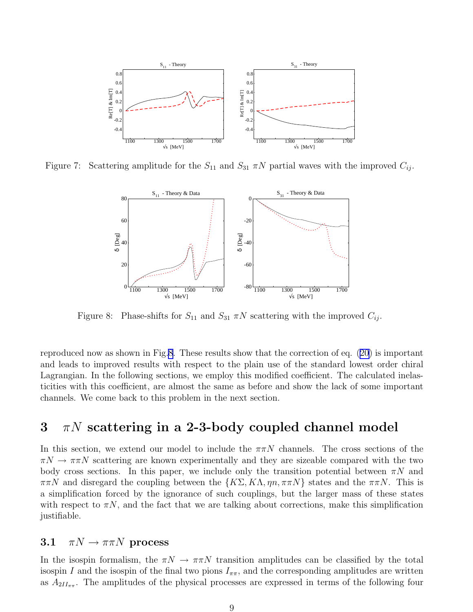<span id="page-8-0"></span>

Figure 7: Scattering amplitude for the  $S_{11}$  and  $S_{31} \pi N$  partial waves with the improved  $C_{ij}$ .



Figure 8: Phase-shifts for  $S_{11}$  and  $S_{31}$   $\pi N$  scattering with the improved  $C_{ij}$ .

reproduced now as shown in Fig.8. These results show that the correction of eq. [\(20\)](#page-7-0) is important and leads to improved results with respect to the plain use of the standard lowest order chiral Lagrangian. In the following sections, we employ this modified coefficient. The calculated inelasticities with this coefficient, are almost the same as before and show the lack of some important channels. We come back to this problem in the next section.

# $3 \pi N$  scattering in a 2-3-body coupled channel model

In this section, we extend our model to include the  $\pi\pi N$  channels. The cross sections of the  $\pi N \to \pi \pi N$  scattering are known experimentally and they are sizeable compared with the two body cross sections. In this paper, we include only the transition potential between  $\pi N$  and  $\pi\pi N$  and disregard the coupling between the  $\{K\Sigma, K\Lambda, \eta n, \pi\pi N\}$  states and the  $\pi\pi N$ . This is a simplification forced by the ignorance of such couplings, but the larger mass of these states with respect to  $\pi N$ , and the fact that we are talking about corrections, make this simplification justifiable.

#### 3.1  $\pi N \to \pi \pi N$  process

In the isospin formalism, the  $\pi N \to \pi \pi N$  transition amplitudes can be classified by the total isospin I and the isospin of the final two pions  $I_{\pi\pi}$ , and the corresponding amplitudes are written as  $A_{2II_{\pi\pi}}$ . The amplitudes of the physical processes are expressed in terms of the following four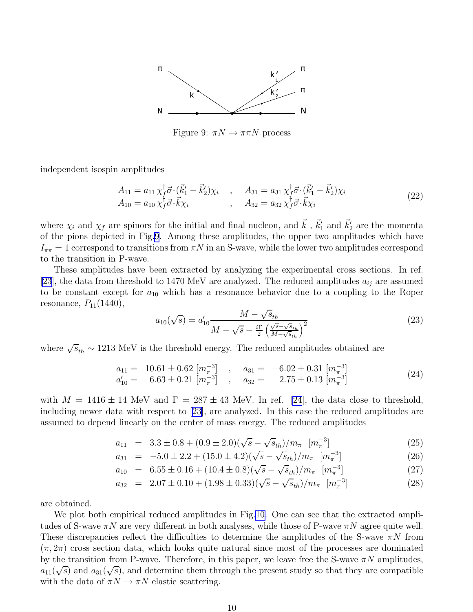

Figure 9:  $\pi N \rightarrow \pi \pi N$  process

independent isospin amplitudes

$$
A_{11} = a_{11} \chi_f^{\dagger} \vec{\sigma} \cdot (\vec{k}_1' - \vec{k}_2') \chi_i , \qquad A_{31} = a_{31} \chi_f^{\dagger} \vec{\sigma} \cdot (\vec{k}_1' - \vec{k}_2') \chi_i A_{10} = a_{10} \chi_f^{\dagger} \vec{\sigma} \cdot \vec{k} \chi_i , \qquad A_{32} = a_{32} \chi_f^{\dagger} \vec{\sigma} \cdot \vec{k} \chi_i
$$
 (22)

where  $\chi_i$  and  $\chi_f$  are spinors for the initial and final nucleon, and  $\vec{k}$ ,  $\vec{k}'_1$  and  $\vec{k}'_2$  are the momenta of the pions depicted in Fig.9. Among these amplitudes, the upper two amplitudes which have  $I_{\pi\pi} = 1$  correspond to transitions from  $\pi N$  in an S-wave, while the lower two amplitudes correspond to the transition in P-wave.

These amplitudes have been extracted by analyzing the experimental cross sections. In ref. [\[23](#page-21-0)], the data from threshold to 1470 MeV are analyzed. The reduced amplitudes  $a_{ij}$  are assumed to be constant except for  $a_{10}$  which has a resonance behavior due to a coupling to the Roper resonance,  $P_{11}(1440)$ ,

$$
a_{10}(\sqrt{s}) = a'_{10} \frac{M - \sqrt{s}_{th}}{M - \sqrt{s} - \frac{i\Gamma}{2} \left(\frac{\sqrt{s} - \sqrt{s}_{th}}{M - \sqrt{s}_{th}}\right)^2}
$$
(23)

where  $\sqrt{s}_{th} \sim 1213$  MeV is the threshold energy. The reduced amplitudes obtained are

$$
a_{11} = 10.61 \pm 0.62 \left[ m_{\pi}^{-3} \right] , \quad a_{31} = -6.02 \pm 0.31 \left[ m_{\pi}^{-3} \right] a'_{10} = 6.63 \pm 0.21 \left[ m_{\pi}^{-3} \right] , \quad a_{32} = 2.75 \pm 0.13 \left[ m_{\pi}^{-3} \right] \tag{24}
$$

with  $M = 1416 \pm 14$  MeV and  $\Gamma = 287 \pm 43$  MeV. In ref. [\[24](#page-21-0)], the data close to threshold, including newer data with respect to [\[23\]](#page-21-0), are analyzed. In this case the reduced amplitudes are assumed to depend linearly on the center of mass energy. The reduced amplitudes

$$
a_{11} = 3.3 \pm 0.8 + (0.9 \pm 2.0)(\sqrt{s} - \sqrt{s_{th}})/m_{\pi} \quad [m_{\pi}^{-3}]
$$
\n(25)

$$
a_{31} = -5.0 \pm 2.2 + (15.0 \pm 4.2)(\sqrt{s} - \sqrt{s_{th}})/m_{\pi} \quad [m_{\pi}^{-3}]
$$
 (26)

$$
a_{10} = 6.55 \pm 0.16 + (10.4 \pm 0.8)(\sqrt{s} - \sqrt{s_{th}})/m_{\pi} \quad [m_{\pi}^{-3}]
$$
 (27)

$$
a_{32} = 2.07 \pm 0.10 + (1.98 \pm 0.33)(\sqrt{s} - \sqrt{s}_{th})/m_{\pi} \quad [m_{\pi}^{-3}]
$$
 (28)

are obtained.

We plot both empirical reduced amplitudes in Fig[.10.](#page-10-0) One can see that the extracted amplitudes of S-wave  $\pi N$  are very different in both analyses, while those of P-wave  $\pi N$  agree quite well. These discrepancies reflect the difficulties to determine the amplitudes of the S-wave  $\pi N$  from  $(\pi, 2\pi)$  cross section data, which looks quite natural since most of the processes are dominated by the transition from P-wave. Therefore, in this paper, we leave free the S-wave  $\pi N$  amplitudes,  $a_{11}(\sqrt{s})$  and  $a_{31}(\sqrt{s})$ , and determine them through the present study so that they are compatible with the data of  $\pi N \to \pi N$  elastic scattering.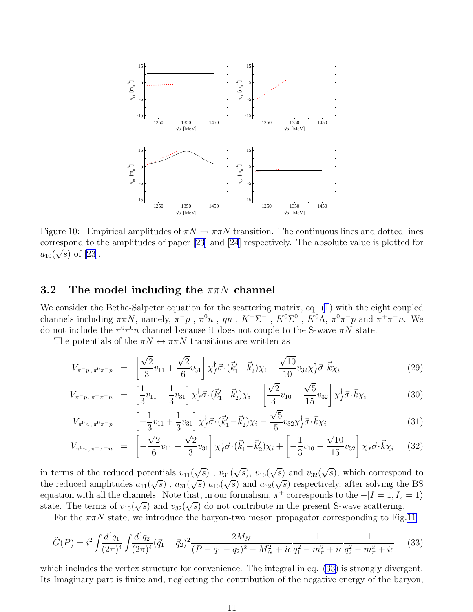<span id="page-10-0"></span>

Figure 10: Empirical amplitudes of  $\pi N \to \pi \pi N$  transition. The continuous lines and dotted lines correspond to the amplitudes of paper [\[23](#page-21-0)] and[[24](#page-21-0)] respectively. The absolute value is plotted for  $a_{10}(\sqrt{s})$  of [\[23](#page-21-0)].

#### 3.2 The model including the  $\pi\pi N$  channel

We consider the Bethe-Salpeter equation for the scattering matrix, eq. [\(1](#page-2-0)) with the eight coupled channels including  $\pi\pi N$ , namely,  $\pi^-p$ ,  $\pi^0n$ ,  $\eta n$ ,  $K^+\Sigma^-$ ,  $K^0\Sigma^0$ ,  $K^0\Lambda$ ,  $\pi^0\pi^-p$  and  $\pi^+\pi^-n$ . We do not include the  $\pi^0 \pi^0 n$  channel because it does not couple to the S-wave  $\pi N$  state.

The potentials of the  $\pi N \leftrightarrow \pi \pi N$  transitions are written as

$$
V_{\pi^- p, \pi^0 \pi^- p} = \left[ \frac{\sqrt{2}}{3} v_{11} + \frac{\sqrt{2}}{6} v_{31} \right] \chi_f^{\dagger} \vec{\sigma} \cdot (\vec{k}_1' - \vec{k}_2') \chi_i - \frac{\sqrt{10}}{10} v_{32} \chi_f^{\dagger} \vec{\sigma} \cdot \vec{k} \chi_i \tag{29}
$$

$$
V_{\pi^-p,\pi^+\pi^-n} = \left[\frac{1}{3}v_{11} - \frac{1}{3}v_{31}\right]\chi_f^{\dagger}\vec{\sigma}\cdot(\vec{k}_1'-\vec{k}_2')\chi_i + \left[\frac{\sqrt{2}}{3}v_{10} - \frac{\sqrt{5}}{15}v_{32}\right]\chi_f^{\dagger}\vec{\sigma}\cdot\vec{k}\chi_i
$$
 (30)

$$
V_{\pi^0 n, \pi^0 \pi^- p} = \left[ -\frac{1}{3} v_{11} + \frac{1}{3} v_{31} \right] \chi_f^{\dagger} \vec{\sigma} \cdot (\vec{k}_1' - \vec{k}_2') \chi_i - \frac{\sqrt{5}}{5} v_{32} \chi_f^{\dagger} \vec{\sigma} \cdot \vec{k} \chi_i \tag{31}
$$

$$
V_{\pi^0 n, \pi^+ \pi^- n} = \left[ -\frac{\sqrt{2}}{6} v_{11} - \frac{\sqrt{2}}{3} v_{31} \right] \chi_f^{\dagger} \vec{\sigma} \cdot (\vec{k}_1' - \vec{k}_2') \chi_i + \left[ -\frac{1}{3} v_{10} - \frac{\sqrt{10}}{15} v_{32} \right] \chi_f^{\dagger} \vec{\sigma} \cdot \vec{k} \chi_i \tag{32}
$$

in terms of the reduced potentials  $v_{11}(\sqrt{s})$ ,  $v_{31}(\sqrt{s})$ ,  $v_{10}(\sqrt{s})$  and  $v_{32}(\sqrt{s})$ , which correspond to the reduced amplitudes  $a_{11}(\sqrt{s})$ ,  $a_{31}(\sqrt{s})$   $a_{10}(\sqrt{s})$  and  $a_{32}(\sqrt{s})$  respectively, after solving the BS equation with all the channels. Note that, in our formalism,  $\pi^+$  corresponds to the  $-|I=1, I_z=1\rangle$ state. The terms of  $v_{10}(\sqrt{s})$  and  $v_{32}(\sqrt{s})$  do not contribute in the present S-wave scattering.

For the  $\pi\pi N$  state, we introduce the baryon-two meson propagator corresponding to Fig[.11](#page-11-0)

$$
\tilde{G}(P) = i^2 \int \frac{d^4 q_1}{(2\pi)^4} \int \frac{d^4 q_2}{(2\pi)^4} (\vec{q}_1 - \vec{q}_2)^2 \frac{2M_N}{(P - q_1 - q_2)^2 - M_N^2 + i\epsilon} \frac{1}{q_1^2 - m_\pi^2 + i\epsilon} \frac{1}{q_2^2 - m_\pi^2 + i\epsilon} \tag{33}
$$

which includes the vertex structure for convenience. The integral in eq.  $(33)$  is strongly divergent. Its Imaginary part is finite and, neglecting the contribution of the negative energy of the baryon,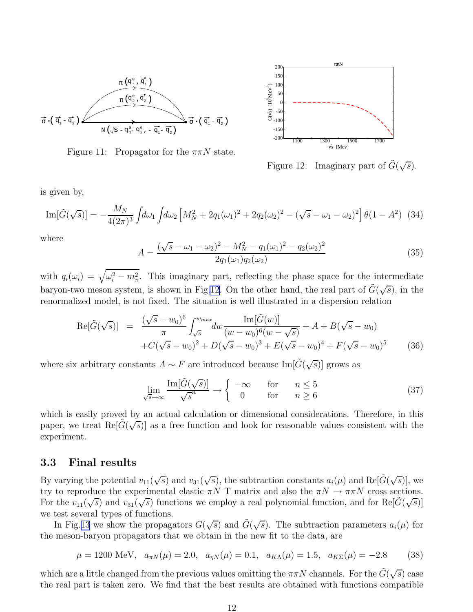<span id="page-11-0"></span>

Figure 11: Propagator for the  $\pi\pi N$  state.



Figure 12: Imaginary part of  $\tilde{G}(\sqrt{s})$ .

is given by,

$$
\text{Im}[\tilde{G}(\sqrt{s})] = -\frac{M_N}{4(2\pi)^3} \int d\omega_1 \int d\omega_2 \left[ M_N^2 + 2q_1(\omega_1)^2 + 2q_2(\omega_2)^2 - (\sqrt{s} - \omega_1 - \omega_2)^2 \right] \theta(1 - A^2) \tag{34}
$$

where

$$
A = \frac{(\sqrt{s} - \omega_1 - \omega_2)^2 - M_N^2 - q_1(\omega_1)^2 - q_2(\omega_2)^2}{2q_1(\omega_1)q_2(\omega_2)}
$$
(35)

with  $q_i(\omega_i) = \sqrt{\omega_i^2 - m_\pi^2}$ . This imaginary part, reflecting the phase space for the intermediate baryon-two meson system, is shown in Fig.12. On the other hand, the real part of  $\tilde{G}(\sqrt{s})$ , in the renormalized model, is not fixed. The situation is well illustrated in a dispersion relation

$$
\text{Re}[\tilde{G}(\sqrt{s})] = \frac{(\sqrt{s} - w_0)^6}{\pi} \int_{\sqrt{s}}^{w_{max}} dw \frac{\text{Im}[\tilde{G}(w)]}{(w - w_0)^6 (w - \sqrt{s})} + A + B(\sqrt{s} - w_0) + C(\sqrt{s} - w_0)^2 + D(\sqrt{s} - w_0)^3 + E(\sqrt{s} - w_0)^4 + F(\sqrt{s} - w_0)^5 \tag{36}
$$

where six arbitrary constants  $A \sim F$  are introduced because  $\text{Im}[\tilde{G}(\sqrt{s})]$  grows as

$$
\lim_{\sqrt{s}\to\infty} \frac{\text{Im}[\tilde{G}(\sqrt{s})]}{\sqrt{s}^n} \to \begin{cases} -\infty & \text{for} & n \le 5\\ 0 & \text{for} & n \ge 6 \end{cases}
$$
 (37)

which is easily proved by an actual calculation or dimensional considerations. Therefore, in this paper, we treat  $\text{Re}[\tilde{G}(\sqrt{s})]$  as a free function and look for reasonable values consistent with the experiment.

#### 3.3 Final results

By varying the potential  $v_{11}(\sqrt{s})$  and  $v_{31}(\sqrt{s})$ , the subtraction constants  $a_i(\mu)$  and  $\text{Re}[\tilde{G}(\sqrt{s})]$ , we try to reproduce the experimental elastic  $\pi N$  T matrix and also the  $\pi N \to \pi \pi N$  cross sections. For the  $v_{11}(\sqrt{s})$  and  $v_{31}(\sqrt{s})$  functions we employ a real polynomial function, and for Re[ $\tilde{G}(\sqrt{s})$ ] we test several types of functions.

In Fig.[13](#page-12-0) we show the propagators  $G(\sqrt{s})$  and  $\tilde{G}(\sqrt{s})$ . The subtraction parameters  $a_i(\mu)$  for the meson-baryon propagators that we obtain in the new fit to the data, are

$$
\mu = 1200 \text{ MeV}, \quad a_{\pi N}(\mu) = 2.0, \quad a_{\eta N}(\mu) = 0.1, \quad a_{K\Lambda}(\mu) = 1.5, \quad a_{K\Sigma}(\mu) = -2.8 \tag{38}
$$

which are a little changed from the previous values omitting the  $\pi \pi N$  channels. For the  $\tilde{G}(\sqrt{s})$  case the real part is taken zero. We find that the best results are obtained with functions compatible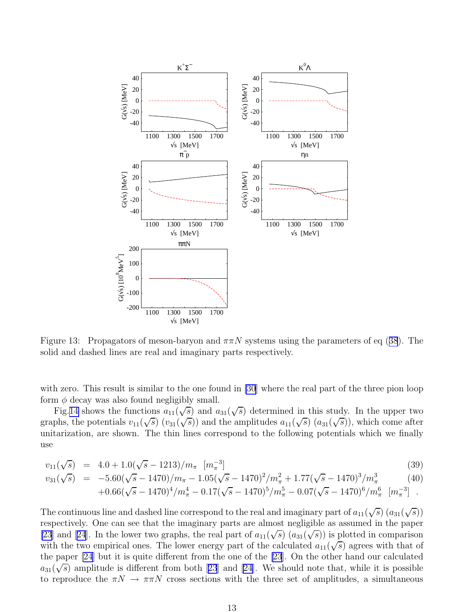<span id="page-12-0"></span>

Figure13: Propagators of meson-baryon and  $\pi \pi N$  systems using the parameters of eq ([38](#page-11-0)). The solid and dashed lines are real and imaginary parts respectively.

with zero. This result is similar to the one found in [\[30](#page-22-0)] where the real part of the three pion loop form  $\phi$  decay was also found negligibly small.

Fig. [14](#page-13-0) shows the functions  $a_{11}(\sqrt{s})$  and  $a_{31}(\sqrt{s})$  determined in this study. In the upper two graphs, the potentials  $v_{11}(\sqrt{s})$   $(v_{31}(\sqrt{s}))$  and the amplitudes  $a_{11}(\sqrt{s})$   $(a_{31}(\sqrt{s}))$ , which come after unitarization, are shown. The thin lines correspond to the following potentials which we finally use

$$
v_{11}(\sqrt{s}) = 4.0 + 1.0(\sqrt{s} - 1213)/m_{\pi} \quad [m_{\pi}^{-3}]
$$
\n(39)

$$
v_{31}(\sqrt{s}) = -5.60(\sqrt{s} - 1470)/m_{\pi} - 1.05(\sqrt{s} - 1470)^2/m_{\pi}^2 + 1.77(\sqrt{s} - 1470)^3/m_{\pi}^3 \tag{40}
$$

$$
+0.66(\sqrt{s}-1470)^4/m_\pi^4-0.17(\sqrt{s}-1470)^5/m_\pi^5-0.07(\sqrt{s}-1470)^6/m_\pi^6\ \ [m_\pi^{-3}]\ .
$$

The continuous line and dashed line correspond to the real and imaginary part of  $a_{11}(\sqrt{s})$   $(a_{31}(\sqrt{s}))$ respectively. One can see that the imaginary parts are almost negligible as assumed in the paper [\[23](#page-21-0)]and [[24](#page-21-0)]. In the lower two graphs, the real part of  $a_{11}(\sqrt{s})$   $(a_{31}(\sqrt{s}))$  is plotted in comparison with the two empirical ones. The lower energy part of the calculated  $a_{11}(\sqrt{s})$  agrees with that of the paper [\[24](#page-21-0)] but it is quite different from the one of the [\[23](#page-21-0)]. On the other hand our calculated  $a_{31}(\sqrt{s})$ amplitude is different from both [[23](#page-21-0)] and [\[24\]](#page-21-0). We should note that, while it is possible to reproduce the  $\pi N \to \pi \pi N$  cross sections with the three set of amplitudes, a simultaneous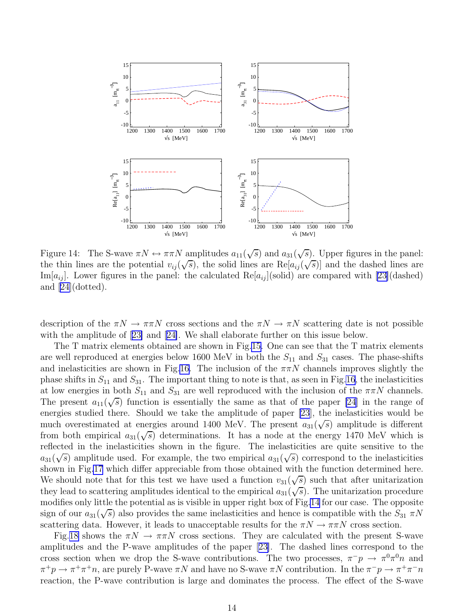<span id="page-13-0"></span>

Figure 14: The S-wave  $\pi N \leftrightarrow \pi \pi N$  amplitudes  $a_{11}(\sqrt{s})$  and  $a_{31}(\sqrt{s})$ . Upper figures in the panel: the thin lines are the potential  $v_{ij}(\sqrt{s})$ , the solid lines are  $\text{Re}[a_{ij}(\sqrt{s})]$  and the dashed lines are Im[ $a_{ij}$ ]. Lower figures in the panel: the calculated Re[ $a_{ij}$ ](solid) are compared with [\[23\]](#page-21-0)(dashed) and [\[24\]](#page-21-0)(dotted).

description of the  $\pi N \to \pi \pi N$  cross sections and the  $\pi N \to \pi N$  scattering date is not possible with the amplitude of[[23\]](#page-21-0) and[[24\]](#page-21-0). We shall elaborate further on this issue below.

The T matrix elements obtained are shown in Fig.[15.](#page-14-0) One can see that the T matrix elements are well reproduced at energies below 1600 MeV in both the  $S_{11}$  and  $S_{31}$  cases. The phase-shifts and inelasticities are shown in Fig[.16.](#page-14-0) The inclusion of the  $\pi \pi N$  channels improves slightly the phase shifts in  $S_{11}$  and  $S_{31}$ . The important thing to note is that, as seen in Fig[.16](#page-14-0), the inelasticities at low energies in both  $S_{11}$  and  $S_{31}$  are well reproduced with the inclusion of the  $\pi\pi N$  channels. The present  $a_{11}(\sqrt{s})$  function is essentially the same as that of the paper [\[24\]](#page-21-0) in the range of energies studied there. Should we take the amplitude of paper [\[23](#page-21-0)], the inelasticities would be much overestimated at energies around 1400 MeV. The present  $a_{31}(\sqrt{s})$  amplitude is different from both empirical  $a_{31}(\sqrt{s})$  determinations. It has a node at the energy 1470 MeV which is reflected in the inelasticities shown in the figure. The inelasticities are quite sensitive to the  $a_{31}(\sqrt{s})$  amplitude used. For example, the two empirical  $a_{31}(\sqrt{s})$  correspond to the inelasticities shown in Fig[.17](#page-15-0) which differ appreciable from those obtained with the function determined here. We should note that for this test we have used a function  $v_{31}(\sqrt{s})$  such that after unitarization they lead to scattering amplitudes identical to the empirical  $a_{31}(\sqrt{s})$ . The unitarization procedure modifies only little the potential as is visible in upper right box of Fig.14 for our case. The opposite sign of our  $a_{31}(\sqrt{s})$  also provides the same inelasticities and hence is compatible with the  $S_{31} \pi N$ scattering data. However, it leads to unacceptable results for the  $\pi N \to \pi \pi N$  cross section.

Fig.[18](#page-16-0) shows the  $\pi N \to \pi \pi N$  cross sections. They are calculated with the present S-wave amplitudes and the P-wave amplitudes of the paper[[23\]](#page-21-0). The dashed lines correspond to the cross section when we drop the S-wave contributions. The two processes,  $\pi^- p \to \pi^0 \pi^0 n$  and  $\pi^+ p \to \pi^+ \pi^+ n$ , are purely P-wave  $\pi N$  and have no S-wave  $\pi N$  contribution. In the  $\pi^- p \to \pi^+ \pi^- n$ reaction, the P-wave contribution is large and dominates the process. The effect of the S-wave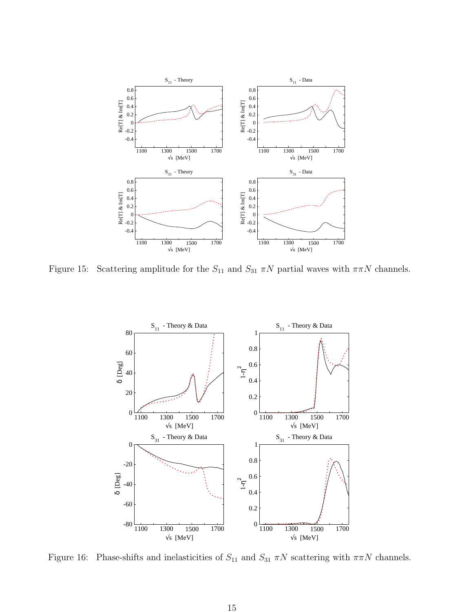<span id="page-14-0"></span>

Figure 15: Scattering amplitude for the  $S_{11}$  and  $S_{31}$   $\pi N$  partial waves with  $\pi \pi N$  channels.



Figure 16: Phase-shifts and inelasticities of  $S_{11}$  and  $S_{31}$   $\pi N$  scattering with  $\pi \pi N$  channels.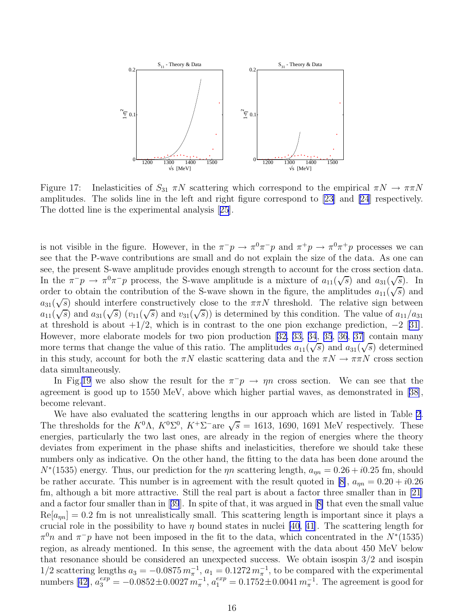<span id="page-15-0"></span>

Figure 17: Inelasticities of  $S_{31} \pi N$  scattering which correspond to the empirical  $\pi N \to \pi \pi N$ amplitudes. The solids line in the left and right figure correspond to [\[23\]](#page-21-0) and [\[24](#page-21-0)] respectively. The dotted line is the experimental analysis[[25](#page-21-0)].

is not visible in the figure. However, in the  $\pi^-p \to \pi^0\pi^-p$  and  $\pi^+p \to \pi^0\pi^+p$  processes we can see that the P-wave contributions are small and do not explain the size of the data. As one can see, the present S-wave amplitude provides enough strength to account for the cross section data. In the  $\pi^- p \to \pi^0 \pi^- p$  process, the S-wave amplitude is a mixture of  $a_{11}(\sqrt{s})$  and  $a_{31}(\sqrt{s})$ . In order to obtain the contribution of the S-wave shown in the figure, the amplitudes  $a_{11}(\sqrt{s})$  and  $a_{31}(\sqrt{s})$  should interfere constructively close to the  $\pi\pi N$  threshold. The relative sign between  $a_{11}(\sqrt{s})$  and  $a_{31}(\sqrt{s})$   $(v_{11}(\sqrt{s})$  and  $v_{31}(\sqrt{s}))$  is determined by this condition. The value of  $a_{11}/a_{31}$ at threshold is about  $+1/2$ , which is in contrast to the one pion exchange prediction,  $-2$  [\[31\]](#page-22-0). However, more elaborate models for two pion production [\[32,](#page-22-0) [33, 34](#page-22-0), [35](#page-22-0), [36](#page-22-0), [37\]](#page-22-0) contain many more terms that change the value of this ratio. The amplitudes  $a_{11}(\sqrt{s})$  and  $a_{31}(\sqrt{s})$  determined in this study, account for both the  $\pi N$  elastic scattering data and the  $\pi N \to \pi \pi N$  cross section data simultaneously.

In Fig[.19](#page-16-0) we also show the result for the  $\pi^-p \to \eta n$  cross section. We can see that the agreement is good up to 1550 MeV, above which higher partial waves, as demonstrated in [\[38\]](#page-22-0), become relevant.

We have also evaluated the scattering lengths in our approach which are listed in Table [2](#page-17-0). The thresholds for the  $K^0\Lambda$ ,  $K^0\Sigma^0$ ,  $K^+\overline{\Sigma}^-$ are  $\sqrt{s} = 1613$ , 1690, 1691 MeV respectively. These energies, particularly the two last ones, are already in the region of energies where the theory deviates from experiment in the phase shifts and inelasticities, therefore we should take these numbers only as indicative. On the other hand, the fitting to the data has been done around the  $N^*(1535)$  energy. Thus, our prediction for the  $\eta n$  scattering length,  $a_{\eta n} = 0.26 + i0.25$  fm, should be rather accurate. This number is in agreement with the result quoted in [\[8\]](#page-21-0),  $a_{nn} = 0.20 + i0.26$ fm, although a bit more attractive. Still the real part is about a factor three smaller than in [\[21\]](#page-21-0) and a factor four smaller than in[[39](#page-22-0)]. In spite of that, it was argued in[[8\]](#page-21-0) that even the small value  $Re[a_{nn}] = 0.2$  fm is not unrealistically small. This scattering length is important since it plays a crucial role in the possibility to have  $\eta$  bound states in nuclei [\[40](#page-22-0), [41](#page-22-0)]. The scattering length for  $\pi^0 n$  and  $\pi^- p$  have not been imposed in the fit to the data, which concentrated in the  $N^*(1535)$ region, as already mentioned. In this sense, the agreement with the data about 450 MeV below that resonance should be considered an unexpected success. We obtain isospin 3/2 and isospin  $1/2$  scattering lengths  $a_3 = -0.0875 \, m_{\pi}^{-1}$ ,  $a_1 = 0.1272 \, m_{\pi}^{-1}$ , to be compared with the experimental numbers[[42\]](#page-22-0),  $a_3^{exp} = -0.0852 \pm 0.0027$   $m_{\pi}^{-1}$ ,  $a_1^{exp} = 0.1752 \pm 0.0041$   $m_{\pi}^{-1}$ . The agreement is good for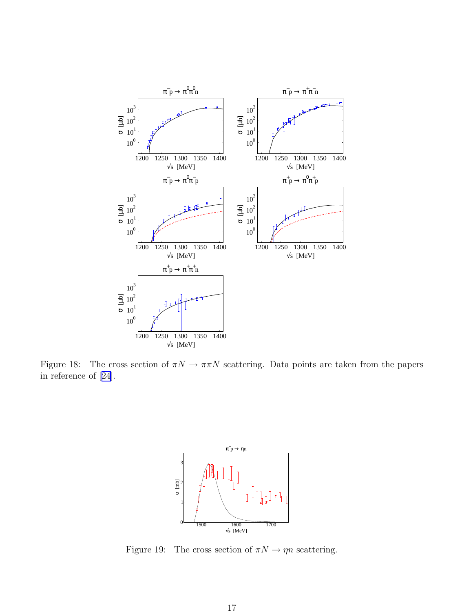<span id="page-16-0"></span>

Figure 18: The cross section of  $\pi N \to \pi \pi N$  scattering. Data points are taken from the papers in reference of[[24](#page-21-0)].



Figure 19: The cross section of  $\pi N \to \eta n$  scattering.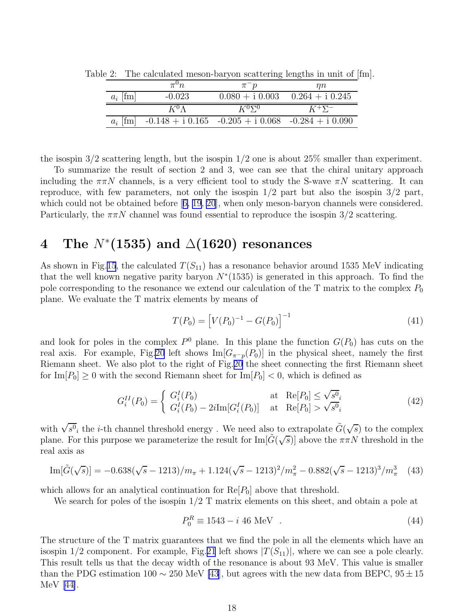|            | $\pi^{0}n$    | $\pi$ $p$     | $\eta n$                            |  |
|------------|---------------|---------------|-------------------------------------|--|
| $a_i$ [fm] | $-0.023$      |               | $0.080 + i 0.003$ $0.264 + i 0.245$ |  |
|            |               |               |                                     |  |
|            | $K^0 \Lambda$ | $K^0\Sigma^0$ | $K^+\Sigma^-$                       |  |

<span id="page-17-0"></span>Table 2: The calculated meson-baryon scattering lengths in unit of [fm].

the isospin  $3/2$  scattering length, but the isospin  $1/2$  one is about  $25\%$  smaller than experiment.

To summarize the result of section 2 and 3, wee can see that the chiral unitary approach including the  $\pi\pi N$  channels, is a very efficient tool to study the S-wave  $\pi N$  scattering. It can reproduce, with few parameters, not only the isospin  $1/2$  part but also the isospin  $3/2$  part, whichcould not be obtained before [[6, 19, 20](#page-21-0)], when only meson-baryon channels were considered. Particularly, the  $\pi \pi N$  channel was found essential to reproduce the isospin 3/2 scattering.

# $4\quad$  The  $N^*(1535)$  and  $\Delta(1620)$  resonances

As shown in Fig.[15](#page-14-0), the calculated  $T(S_{11})$  has a resonance behavior around 1535 MeV indicating that the well known negative parity baryon  $N^*(1535)$  is generated in this approach. To find the pole corresponding to the resonance we extend our calculation of the T matrix to the complex  $P_0$ plane. We evaluate the T matrix elements by means of

$$
T(P_0) = \left[V(P_0)^{-1} - G(P_0)\right]^{-1}
$$
\n(41)

and look for poles in the complex  $P^0$  plane. In this plane the function  $G(P_0)$  has cuts on the real axis. For example, Fig[.20](#page-18-0) left shows  $\text{Im}[G_{\pi^- p}(P_0)]$  in the physical sheet, namely the first Riemann sheet. We also plot to the right of Fig.[20](#page-18-0) the sheet connecting the first Riemann sheet for  $\text{Im}[P_0] \geq 0$  with the second Riemann sheet for  $\text{Im}[P_0] < 0$ , which is defined as

$$
G_i^{II}(P_0) = \begin{cases} G_i^I(P_0) & \text{at } \text{Re}[P_0] \le \sqrt{s^0}_i \\ G_i^I(P_0) - 2i \text{Im}[G_i^I(P_0)] & \text{at } \text{Re}[P_0] > \sqrt{s^0}_i \end{cases}
$$
(42)

with  $\sqrt{s^0}_i$  the *i*-th channel threshold energy. We need also to extrapolate  $\tilde{G}(\sqrt{s})$  to the complex plane. For this purpose we parameterize the result for  $\text{Im}[\tilde{G}(\sqrt{s})]$  above the  $\pi \pi N$  threshold in the real axis as

$$
\text{Im}[\tilde{G}(\sqrt{s})] = -0.638(\sqrt{s} - 1213)/m_{\pi} + 1.124(\sqrt{s} - 1213)^2/m_{\pi}^2 - 0.882(\sqrt{s} - 1213)^3/m_{\pi}^3 \tag{43}
$$

which allows for an analytical continuation for  $\text{Re}[P_0]$  above that threshold.

We search for poles of the isospin  $1/2$  T matrix elements on this sheet, and obtain a pole at

$$
P_0^R \equiv 1543 - i \ 46 \text{ MeV} \quad . \tag{44}
$$

The structure of the T matrix guarantees that we find the pole in all the elements which have an isospin 1/2 component. For example, Fig.[21](#page-18-0) left shows  $|T(S_{11})|$ , where we can see a pole clearly. This result tells us that the decay width of the resonance is about 93 MeV. This value is smaller than the PDG estimation 100  $\sim$  250 MeV [\[43](#page-22-0)], but agrees with the new data from BEPC, 95  $\pm$  15 MeV [\[44\]](#page-22-0).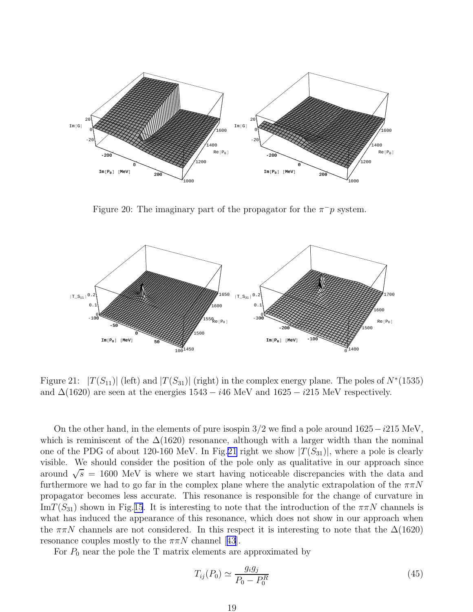<span id="page-18-0"></span>

Figure 20: The imaginary part of the propagator for the  $\pi^- p$  system.



Figure 21:  $|T(S_{11})|$  (left) and  $|T(S_{31})|$  (right) in the complex energy plane. The poles of  $N^*(1535)$ and  $\Delta(1620)$  are seen at the energies  $1543 - i46$  MeV and  $1625 - i215$  MeV respectively.

On the other hand, in the elements of pure isospin  $3/2$  we find a pole around  $1625-i215$  MeV, which is reminiscent of the  $\Delta(1620)$  resonance, although with a larger width than the nominal one of the PDG of about 120-160 MeV. In Fig. 21 right we show  $|T(S_{31})|$ , where a pole is clearly visible. We should consider the position of the pole only as qualitative in our approach since around  $\sqrt{s}$  = 1600 MeV is where we start having noticeable discrepancies with the data and furthermore we had to go far in the complex plane where the analytic extrapolation of the  $\pi\pi N$ propagator becomes less accurate. This resonance is responsible for the change of curvature in  $\text{Im}T(S_{31})$  shown in Fig.[15](#page-14-0). It is interesting to note that the introduction of the  $\pi\pi N$  channels is what has induced the appearance of this resonance, which does not show in our approach when the  $\pi\pi N$  channels are not considered. In this respect it is interesting to note that the  $\Delta(1620)$ resonancecouples mostly to the  $\pi \pi N$  channel [[43](#page-22-0)].

For  $P_0$  near the pole the T matrix elements are approximated by

$$
T_{ij}(P_0) \simeq \frac{g_i g_j}{P_0 - P_0^R} \tag{45}
$$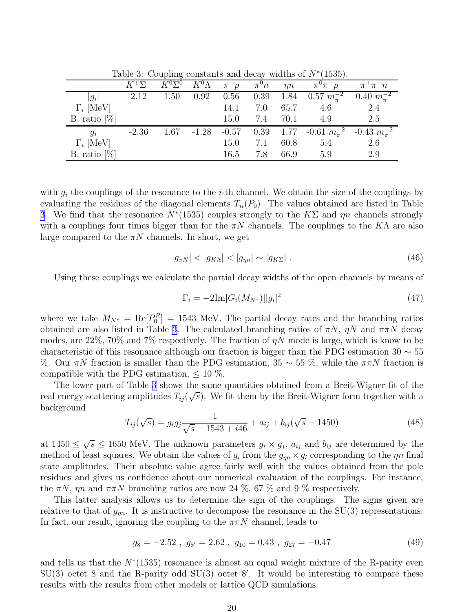Table 3: Coupling constants and decay widths of  $N^*(1535)$ .

|                  |         | $K^+\Sigma^ K^0\Sigma^0$ $K^0\Lambda$ |      | $\pi^- p$ $\pi^0 n$ $\eta n$ |     |          | $\pi^0\pi^-p$                                                        | $\pi^+\pi^-n$ |
|------------------|---------|---------------------------------------|------|------------------------------|-----|----------|----------------------------------------------------------------------|---------------|
| $ g_i $          | 2.12    | $1.50\,$                              | 0.92 | 0.56                         |     |          | 0.39 1.84 $0.57 m_{\pi}^{-2}$ 0.40 $m_{\pi}^{-2}$                    |               |
| $\Gamma_i$ [MeV] |         |                                       |      | 14.1                         | 7.0 | 65.7     | 4.6                                                                  | 2.4           |
| B. ratio $[\%]$  |         |                                       |      | 15.0                         |     | 7.4 70.1 | 4.9                                                                  | 2.5           |
| $g_i$            | $-2.36$ |                                       |      |                              |     |          | 1.67 -1.28 -0.57 0.39 1.77 -0.61 $m_{\pi}^{-2}$ -0.43 $m_{\pi}^{-2}$ |               |
| $\Gamma_i$ [MeV] |         |                                       |      | 15.0                         | 7.1 | 60.8     | 5.4                                                                  | 2.6           |
| B. ratio $[\%]$  |         |                                       |      | 16.5                         | 7.8 | 66.9     | 5.9                                                                  | 2.9           |

with  $g_i$  the couplings of the resonance to the *i*-th channel. We obtain the size of the couplings by evaluating the residues of the diagonal elements  $T_{ii}(P_0)$ . The values obtained are listed in Table 3. We find that the resonance  $N^*(1535)$  couples strongly to the  $K\Sigma$  and  $\eta n$  channels strongly with a couplings four times bigger than for the  $\pi N$  channels. The couplings to the KA are also large compared to the  $\pi N$  channels. In short, we get

$$
|g_{\pi N}| < |g_{K\Lambda}| < |g_m| \sim |g_{K\Sigma}| \tag{46}
$$

Using these couplings we calculate the partial decay widths of the open channels by means of

$$
\Gamma_i = -2\mathrm{Im}[G_i(M_{N^*})]|g_i|^2\tag{47}
$$

where we take  $M_{N^*} = \text{Re}[P_0^R] = 1543$  MeV. The partial decay rates and the branching ratios obtained are also listed in Table 3. The calculated branching ratios of  $\pi N$ ,  $\eta N$  and  $\pi \pi N$  decay modes, are  $22\%$ ,  $70\%$  and  $7\%$  respectively. The fraction of  $\eta N$  mode is large, which is know to be characteristic of this resonance although our fraction is bigger than the PDG estimation 30  $\sim$  55 %. Our  $\pi N$  fraction is smaller than the PDG estimation, 35 ~ 55 %, while the  $\pi \pi N$  fraction is compatible with the PDG estimation,  $\leq 10\%$ .

The lower part of Table 3 shows the same quantities obtained from a Breit-Wigner fit of the real energy scattering amplitudes  $T_{ij}(\sqrt{s})$ . We fit them by the Breit-Wigner form together with a background

$$
T_{ij}(\sqrt{s}) = g_i g_j \frac{1}{\sqrt{s} - 1543 + i46} + a_{ij} + b_{ij}(\sqrt{s} - 1450)
$$
\n(48)

at  $1450 \leq \sqrt{s} \leq 1650$  MeV. The unknown parameters  $g_i \times g_j$ ,  $a_{ij}$  and  $b_{ij}$  are determined by the method of least squares. We obtain the values of  $g_i$  from the  $g_{\eta n} \times g_i$  corresponding to the  $\eta n$  final state amplitudes. Their absolute value agree fairly well with the values obtained from the pole residues and gives us confidence about our numerical evaluation of the couplings. For instance, the  $\pi N$ ,  $\eta n$  and  $\pi \pi N$  branching ratios are now 24 %, 67 % and 9 % respectively.

This latter analysis allows us to determine the sign of the couplings. The signs given are relative to that of  $g_{\eta n}$ . It is instructive to decompose the resonance in the SU(3) representations. In fact, our result, ignoring the coupling to the  $\pi \pi N$  channel, leads to

$$
g_8 = -2.52 \; , \; g_{8'} = 2.62 \; , \; g_{10} = 0.43 \; , \; g_{27} = -0.47 \tag{49}
$$

and tells us that the  $N^*(1535)$  resonance is almost an equal weight mixture of the R-parity even SU(3) octet 8 and the R-parity odd SU(3) octet 8′ . It would be interesting to compare these results with the results from other models or lattice QCD simulations.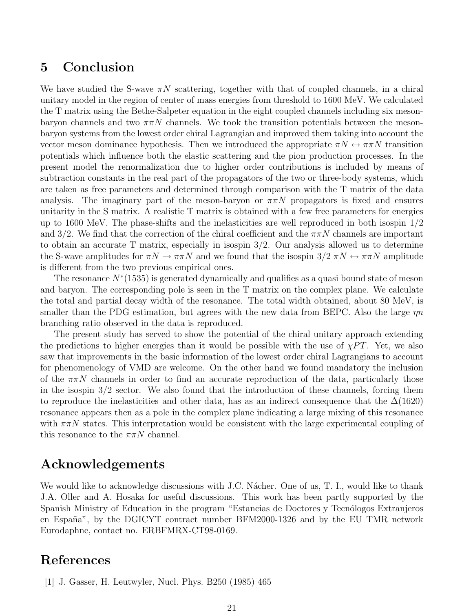# <span id="page-20-0"></span>5 Conclusion

We have studied the S-wave  $\pi N$  scattering, together with that of coupled channels, in a chiral unitary model in the region of center of mass energies from threshold to 1600 MeV. We calculated the T matrix using the Bethe-Salpeter equation in the eight coupled channels including six mesonbaryon channels and two  $\pi \pi N$  channels. We took the transition potentials between the mesonbaryon systems from the lowest order chiral Lagrangian and improved them taking into account the vector meson dominance hypothesis. Then we introduced the appropriate  $\pi N \leftrightarrow \pi \pi N$  transition potentials which influence both the elastic scattering and the pion production processes. In the present model the renormalization due to higher order contributions is included by means of subtraction constants in the real part of the propagators of the two or three-body systems, which are taken as free parameters and determined through comparison with the T matrix of the data analysis. The imaginary part of the meson-baryon or  $\pi\pi N$  propagators is fixed and ensures unitarity in the S matrix. A realistic T matrix is obtained with a few free parameters for energies up to 1600 MeV. The phase-shifts and the inelasticities are well reproduced in both isospin  $1/2$ and 3/2. We find that the correction of the chiral coefficient and the  $\pi\pi N$  channels are important to obtain an accurate T matrix, especially in isospin 3/2. Our analysis allowed us to determine the S-wave amplitudes for  $\pi N \to \pi \pi N$  and we found that the isospin  $3/2 \pi N \leftrightarrow \pi \pi N$  amplitude is different from the two previous empirical ones.

The resonance  $N^*(1535)$  is generated dynamically and qualifies as a quasi bound state of meson and baryon. The corresponding pole is seen in the T matrix on the complex plane. We calculate the total and partial decay width of the resonance. The total width obtained, about 80 MeV, is smaller than the PDG estimation, but agrees with the new data from BEPC. Also the large  $\eta n$ branching ratio observed in the data is reproduced.

The present study has served to show the potential of the chiral unitary approach extending the predictions to higher energies than it would be possible with the use of  $\chi PT$ . Yet, we also saw that improvements in the basic information of the lowest order chiral Lagrangians to account for phenomenology of VMD are welcome. On the other hand we found mandatory the inclusion of the  $\pi\pi N$  channels in order to find an accurate reproduction of the data, particularly those in the isospin  $3/2$  sector. We also found that the introduction of these channels, forcing them to reproduce the inelasticities and other data, has as an indirect consequence that the  $\Delta(1620)$ resonance appears then as a pole in the complex plane indicating a large mixing of this resonance with  $\pi\pi N$  states. This interpretation would be consistent with the large experimental coupling of this resonance to the  $\pi\pi N$  channel.

# Acknowledgements

We would like to acknowledge discussions with J.C. Nacher. One of us, T. I., would like to thank J.A. Oller and A. Hosaka for useful discussions. This work has been partly supported by the Spanish Ministry of Education in the program "Estancias de Doctores y Tecnólogos Extranjeros en España", by the DGICYT contract number BFM2000-1326 and by the EU TMR network Eurodaphne, contact no. ERBFMRX-CT98-0169.

# References

[1] J. Gasser, H. Leutwyler, Nucl. Phys. B250 (1985) 465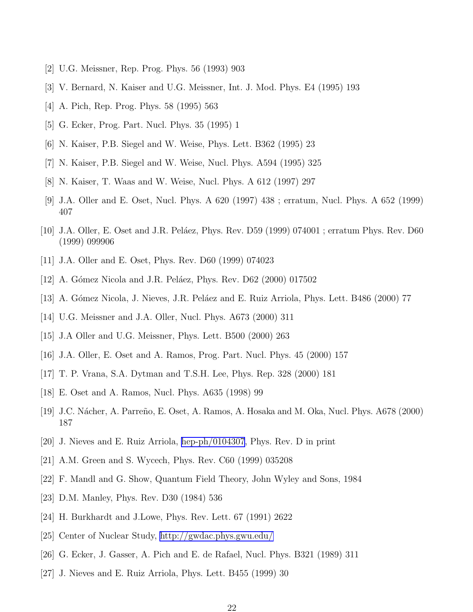- <span id="page-21-0"></span>[2] U.G. Meissner, Rep. Prog. Phys. 56 (1993) 903
- [3] V. Bernard, N. Kaiser and U.G. Meissner, Int. J. Mod. Phys. E4 (1995) 193
- [4] A. Pich, Rep. Prog. Phys. 58 (1995) 563
- [5] G. Ecker, Prog. Part. Nucl. Phys. 35 (1995) 1
- [6] N. Kaiser, P.B. Siegel and W. Weise, Phys. Lett. B362 (1995) 23
- [7] N. Kaiser, P.B. Siegel and W. Weise, Nucl. Phys. A594 (1995) 325
- [8] N. Kaiser, T. Waas and W. Weise, Nucl. Phys. A 612 (1997) 297
- [9] J.A. Oller and E. Oset, Nucl. Phys. A 620 (1997) 438 ; erratum, Nucl. Phys. A 652 (1999) 407
- [10] J.A. Oller, E. Oset and J.R. Peláez, Phys. Rev. D59 (1999) 074001 ; erratum Phys. Rev. D60 (1999) 099906
- [11] J.A. Oller and E. Oset, Phys. Rev. D60 (1999) 074023
- [12] A. Gómez Nicola and J.R. Peláez, Phys. Rev. D62 (2000) 017502
- [13] A. Gómez Nicola, J. Nieves, J.R. Peláez and E. Ruiz Arriola, Phys. Lett. B486 (2000) 77
- [14] U.G. Meissner and J.A. Oller, Nucl. Phys. A673 (2000) 311
- [15] J.A Oller and U.G. Meissner, Phys. Lett. B500 (2000) 263
- [16] J.A. Oller, E. Oset and A. Ramos, Prog. Part. Nucl. Phys. 45 (2000) 157
- [17] T. P. Vrana, S.A. Dytman and T.S.H. Lee, Phys. Rep. 328 (2000) 181
- [18] E. Oset and A. Ramos, Nucl. Phys. A635 (1998) 99
- [19] J.C. Nácher, A. Parreño, E. Oset, A. Ramos, A. Hosaka and M. Oka, Nucl. Phys. A678 (2000) 187
- [20] J. Nieves and E. Ruiz Arriola, [hep-ph/0104307,](http://arXiv.org/abs/hep-ph/0104307) Phys. Rev. D in print
- [21] A.M. Green and S. Wycech, Phys. Rev. C60 (1999) 035208
- [22] F. Mandl and G. Show, Quantum Field Theory, John Wyley and Sons, 1984
- [23] D.M. Manley, Phys. Rev. D30 (1984) 536
- [24] H. Burkhardt and J.Lowe, Phys. Rev. Lett. 67 (1991) 2622
- [25] Center of Nuclear Study,<http://gwdac.phys.gwu.edu/>
- [26] G. Ecker, J. Gasser, A. Pich and E. de Rafael, Nucl. Phys. B321 (1989) 311
- [27] J. Nieves and E. Ruiz Arriola, Phys. Lett. B455 (1999) 30